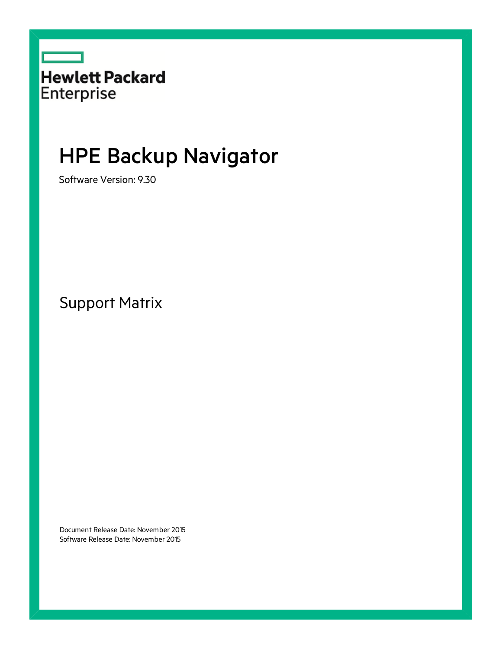

# HPE Backup Navigator

Software Version: 9.30

Support Matrix

Document Release Date: November 2015 Software Release Date: November 2015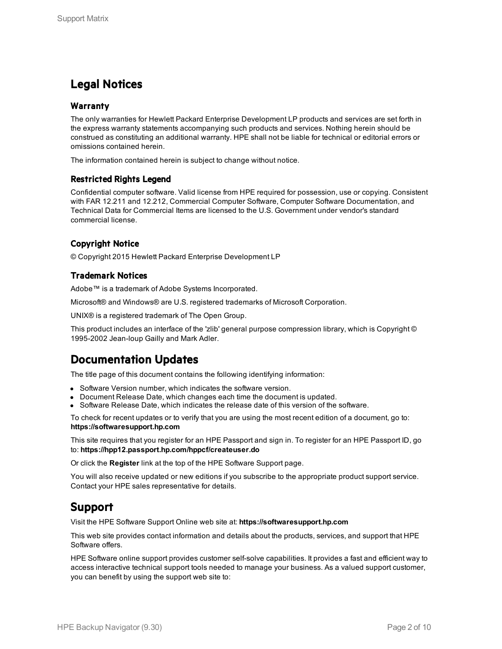### Legal Notices

#### Warranty

The only warranties for Hewlett Packard Enterprise Development LP products and services are set forth in the express warranty statements accompanying such products and services. Nothing herein should be construed as constituting an additional warranty. HPE shall not be liable for technical or editorial errors or omissions contained herein.

The information contained herein is subject to change without notice.

#### Restricted Rights Legend

Confidential computer software. Valid license from HPE required for possession, use or copying. Consistent with FAR 12.211 and 12.212, Commercial Computer Software, Computer Software Documentation, and Technical Data for Commercial Items are licensed to the U.S. Government under vendor's standard commercial license.

### Copyright Notice

© Copyright 2015 Hewlett Packard Enterprise Development LP

#### Trademark Notices

Adobe™ is a trademark of Adobe Systems Incorporated.

Microsoft® and Windows® are U.S. registered trademarks of Microsoft Corporation.

UNIX® is a registered trademark of The Open Group.

This product includes an interface of the 'zlib' general purpose compression library, which is Copyright © 1995-2002 Jean-loup Gailly and Mark Adler.

### Documentation Updates

The title page of this document contains the following identifying information:

- Software Version number, which indicates the software version.
- Document Release Date, which changes each time the document is updated.
- Software Release Date, which indicates the release date of this version of the software.

To check for recent updates or to verify that you are using the most recent edition of a document, go to: **https://softwaresupport.hp.com**

This site requires that you register for an HPE Passport and sign in. To register for an HPE Passport ID, go to: **https://hpp12.passport.hp.com/hppcf/createuser.do**

Or click the **Register** link at the top of the HPE Software Support page.

You will also receive updated or new editions if you subscribe to the appropriate product support service. Contact your HPE sales representative for details.

### Support

Visit the HPE Software Support Online web site at: **https://softwaresupport.hp.com**

This web site provides contact information and details about the products, services, and support that HPE Software offers.

HPE Software online support provides customer self-solve capabilities. It provides a fast and efficient way to access interactive technical support tools needed to manage your business. As a valued support customer, you can benefit by using the support web site to: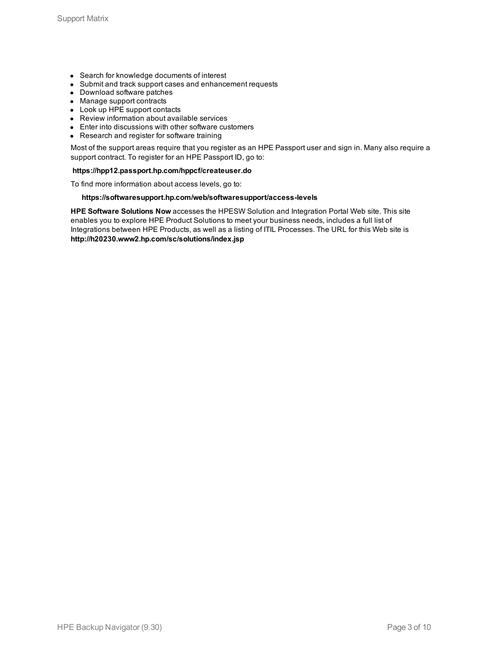- Search for knowledge documents of interest
- Submit and track support cases and enhancement requests
- Download software patches
- Manage support contracts
- Look up HPE support contacts
- Review information about available services
- Enter into discussions with other software customers
- Research and register for software training

Most of the support areas require that you register as an HPE Passport user and sign in. Many also require a support contract. To register for an HPE Passport ID, go to:

#### **https://hpp12.passport.hp.com/hppcf/createuser.do**

To find more information about access levels, go to:

#### **https://softwaresupport.hp.com/web/softwaresupport/access-levels**

**HPE Software Solutions Now** accesses the HPESW Solution and Integration Portal Web site. This site enables you to explore HPE Product Solutions to meet your business needs, includes a full list of Integrations between HPE Products, as well as a listing of ITIL Processes. The URL for this Web site is **http://h20230.www2.hp.com/sc/solutions/index.jsp**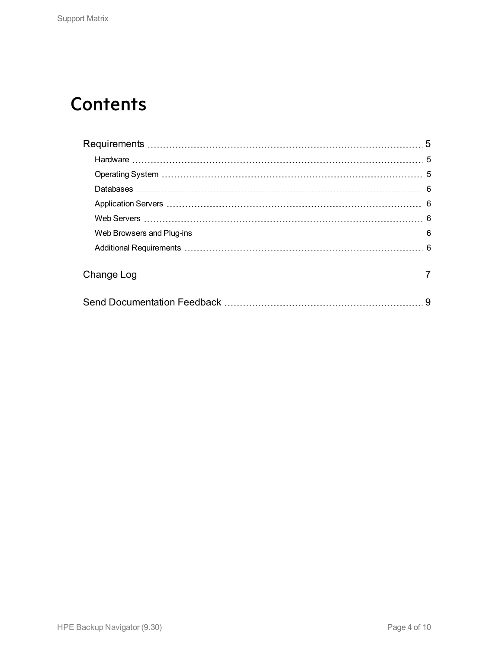# **Contents**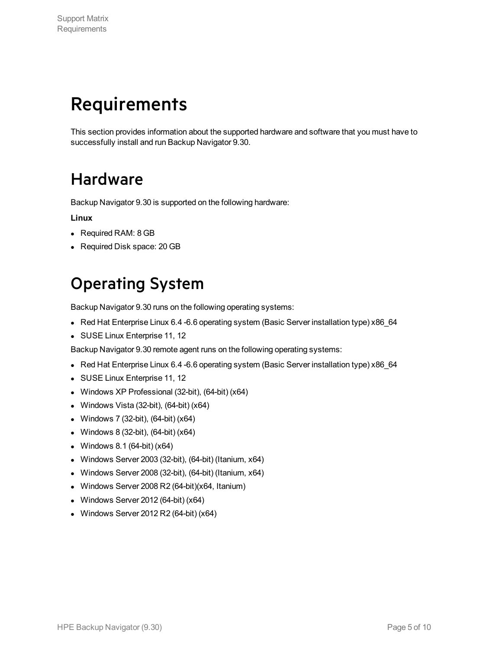# <span id="page-4-0"></span>Requirements

<span id="page-4-1"></span>This section provides information about the supported hardware and software that you must have to successfully install and run Backup Navigator 9.30.

## Hardware

Backup Navigator 9.30 is supported on the following hardware:

#### **Linux**

- Required RAM: 8 GB
- <span id="page-4-2"></span>• Required Disk space: 20 GB

## Operating System

Backup Navigator 9.30 runs on the following operating systems:

- Red Hat Enterprise Linux 6.4 -6.6 operating system (Basic Server installation type) x86\_64
- SUSE Linux Enterprise 11, 12

Backup Navigator 9.30 remote agent runs on the following operating systems:

- Red Hat Enterprise Linux 6.4 -6.6 operating system (Basic Server installation type) x86\_64
- SUSE Linux Enterprise 11, 12
- <sup>l</sup> Windows XP Professional (32-bit), (64-bit) (x64)
- <sup>l</sup> Windows Vista (32-bit), (64-bit) (x64)
- Windows 7 (32-bit),  $(64$ -bit)  $(x64)$
- Windows 8 (32-bit),  $(64$ -bit)  $(x64)$
- Windows  $8.1$  (64-bit) (x64)
- Windows Server 2003 (32-bit),  $(64$ -bit) (Itanium,  $x64$ )
- Windows Server 2008 (32-bit),  $(64$ -bit) (Itanium,  $x64$ )
- Windows Server 2008 R2 (64-bit) $(x64, Itanium)$
- Windows Server 2012 (64-bit)  $(x64)$
- Windows Server 2012 R2 (64-bit)  $(x64)$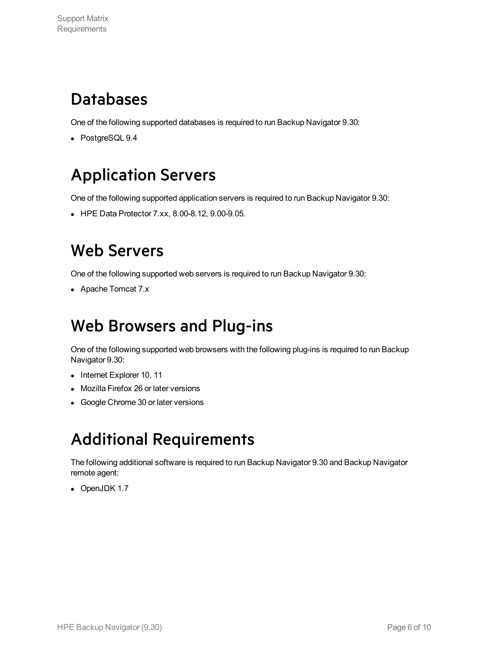### <span id="page-5-0"></span>Databases

One of the following supported databases is required to run Backup Navigator 9.30:

<span id="page-5-1"></span>• PostgreSQL 9.4

## Application Servers

One of the following supported application servers is required to run Backup Navigator 9.30:

<span id="page-5-2"></span>• HPE Data Protector 7.xx, 8.00-8.12, 9.00-9.05.

### Web Servers

One of the following supported web servers is required to run Backup Navigator 9.30:

<span id="page-5-3"></span>• Apache Tomcat 7.x

### Web Browsers and Plug-ins

One of the following supported web browsers with the following plug-ins is required to run Backup Navigator 9.30:

- Internet Explorer 10, 11
- Mozilla Firefox 26 or later versions
- <span id="page-5-4"></span>• Google Chrome 30 or later versions

## Additional Requirements

The following additional software is required to run Backup Navigator 9.30 and Backup Navigator remote agent:

 $\bullet$  OpenJDK 1.7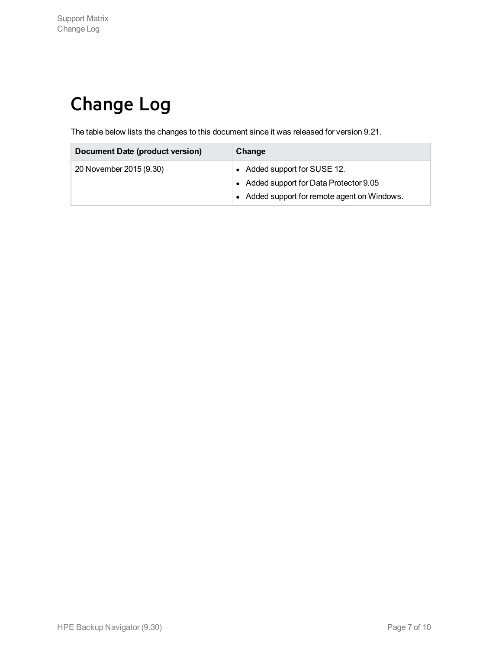# <span id="page-6-0"></span>Change Log

The table below lists the changes to this document since it was released for version 9.21.

| Document Date (product version) | Change                                                                                                                  |
|---------------------------------|-------------------------------------------------------------------------------------------------------------------------|
| 20 November 2015 (9.30)         | • Added support for SUSE 12.<br>• Added support for Data Protector 9.05<br>• Added support for remote agent on Windows. |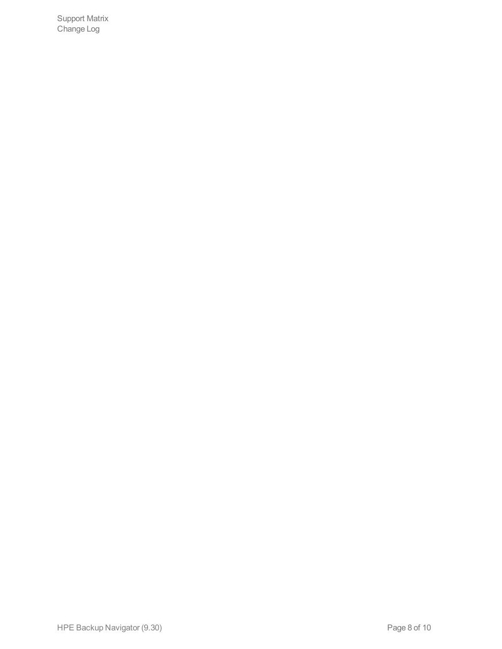Support Matrix Change Log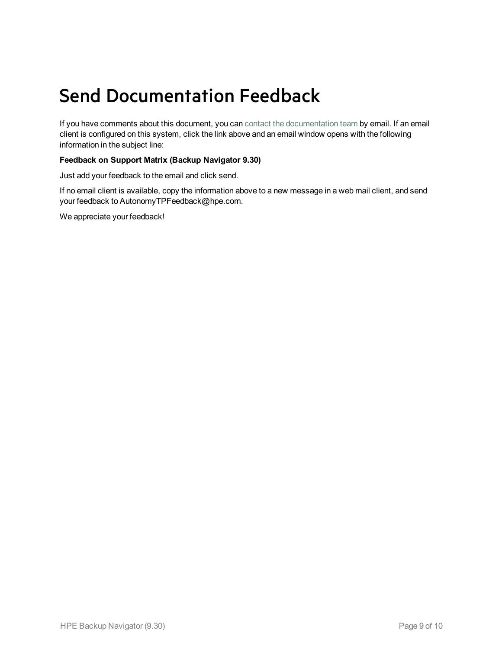# <span id="page-8-0"></span>Send Documentation Feedback

If you have comments about this document, you can contact the [documentation](mailto:AutonomyTPFeedback@hpe.com?subject=Feedback on Support Matrix (Backup Navigator 9.30)) team by email. If an email client is configured on this system, click the link above and an email window opens with the following information in the subject line:

#### **Feedback on Support Matrix (Backup Navigator 9.30)**

Just add your feedback to the email and click send.

If no email client is available, copy the information above to a new message in a web mail client, and send your feedback to AutonomyTPFeedback@hpe.com.

We appreciate your feedback!